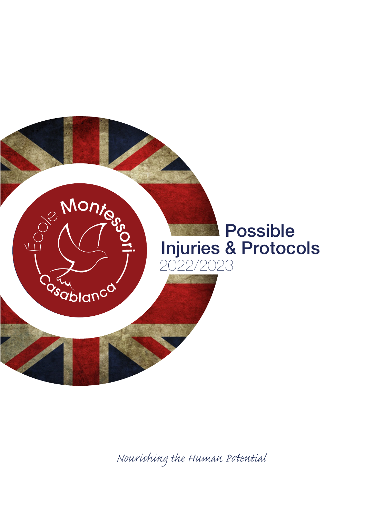

*Nourishing the Human Pential*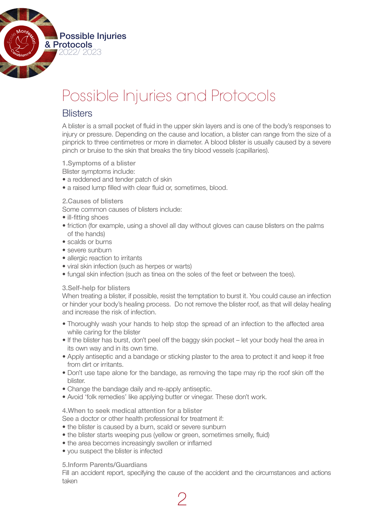

# Possible Injuries and Protocols

## **Blisters**

A blister is a small pocket of fluid in the upper skin layers and is one of the body's responses to injury or pressure. Depending on the cause and location, a blister can range from the size of a pinprick to three centimetres or more in diameter. A blood blister is usually caused by a severe pinch or bruise to the skin that breaks the tiny blood vessels (capillaries).

1.Symptoms of a blister Blister symptoms include:

- a reddened and tender patch of skin
- a raised lump filled with clear fluid or, sometimes, blood.

#### 2.Causes of blisters

Some common causes of blisters include:

- ill-fitting shoes
- friction (for example, using a shovel all day without gloves can cause blisters on the palms of the hands)
- scalds or burns
- severe sunburn
- allergic reaction to irritants
- viral skin infection (such as herpes or warts)
- fungal skin infection (such as tinea on the soles of the feet or between the toes).

#### 3.Self-help for blisters

When treating a blister, if possible, resist the temptation to burst it. You could cause an infection or hinder your body's healing process. Do not remove the blister roof, as that will delay healing and increase the risk of infection.

- Thoroughly wash your hands to help stop the spread of an infection to the affected area while caring for the blister
- If the blister has burst, don't peel off the baggy skin pocket let your body heal the area in its own way and in its own time.
- Apply antiseptic and a bandage or sticking plaster to the area to protect it and keep it free from dirt or irritants.
- Don't use tape alone for the bandage, as removing the tape may rip the roof skin off the blister.
- Change the bandage daily and re-apply antiseptic.
- Avoid 'folk remedies' like applying butter or vinegar. These don't work.

#### 4.When to seek medical attention for a blister

See a doctor or other health professional for treatment if:

- the blister is caused by a burn, scald or severe sunburn
- the blister starts weeping pus (yellow or green, sometimes smelly, fluid)
- the area becomes increasingly swollen or inflamed
- you suspect the blister is infected

5.Inform Parents/Guardians

Fill an accident report, specifying the cause of the accident and the circumstances and actions taken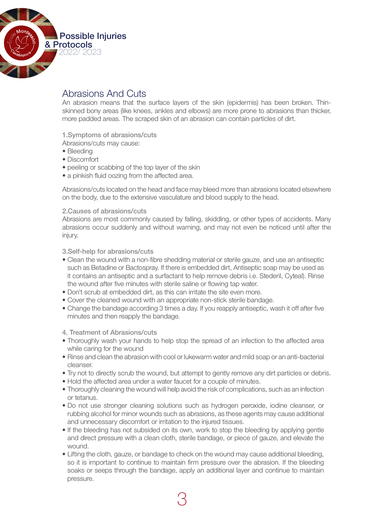

## Abrasions And Cuts

An abrasion means that the surface layers of the skin (epidermis) has been broken. Thinskinned bony areas (like knees, ankles and elbows) are more prone to abrasions than thicker, more padded areas. The scraped skin of an abrasion can contain particles of dirt.

1.Symptoms of abrasions/cuts

Abrasions/cuts may cause:

- Bleeding
- • Discomfort
- peeling or scabbing of the top layer of the skin
- a pinkish fluid oozing from the affected area.

Abrasions/cuts located on the head and face may bleed more than abrasions located elsewhere on the body, due to the extensive vasculature and blood supply to the head.

#### 2.Causes of abrasions/cuts

Abrasions are most commonly caused by falling, skidding, or other types of accidents. Many abrasions occur suddenly and without warning, and may not even be noticed until after the injury.

3.Self-help for abrasions/cuts

- Clean the wound with a non-fibre shedding material or sterile gauze, and use an antiseptic such as Betadine or Bactospray. If there is embedded dirt, Antiseptic soap may be used as it contains an antiseptic and a surfactant to help remove debris i.e. Stederil, Cyteal). Rinse the wound after five minutes with sterile saline or flowing tap water.
- Don't scrub at embedded dirt, as this can irritate the site even more.
- Cover the cleaned wound with an appropriate non-stick sterile bandage.
- Change the bandage according 3 times a day. If you reapply antiseptic, wash it off after five minutes and then reapply the bandage.

#### 4. Treatment of Abrasions/cuts

- Thoroughly wash your hands to help stop the spread of an infection to the affected area while caring for the wound
- Rinse and clean the abrasion with cool or lukewarm water and mild soap or an anti-bacterial cleanser.
- Try not to directly scrub the wound, but attempt to gently remove any dirt particles or debris.
- Hold the affected area under a water faucet for a couple of minutes.
- Thoroughly cleaning the wound will help avoid the risk of complications, such as an infection or tetanus.
- • Do not use stronger cleaning solutions such as hydrogen peroxide, iodine cleanser, or rubbing alcohol for minor wounds such as abrasions, as these agents may cause additional and unnecessary discomfort or irritation to the injured tissues.
- If the bleeding has not subsided on its own, work to stop the bleeding by applying gentle and direct pressure with a clean cloth, sterile bandage, or piece of gauze, and elevate the wound.
- Lifting the cloth, gauze, or bandage to check on the wound may cause additional bleeding, so it is important to continue to maintain firm pressure over the abrasion. If the bleeding soaks or seeps through the bandage, apply an additional layer and continue to maintain pressure.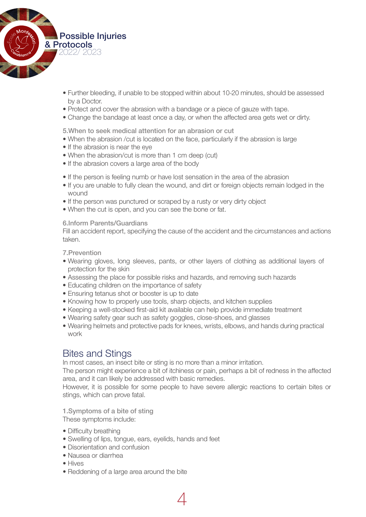

- • Further bleeding, if unable to be stopped within about 10-20 minutes, should be assessed by a Doctor.
- Protect and cover the abrasion with a bandage or a piece of gauze with tape.
- Change the bandage at least once a day, or when the affected area gets wet or dirty.

5.When to seek medical attention for an abrasion or cut

- When the abrasion /cut is located on the face, particularly if the abrasion is large
- If the abrasion is near the eye
- When the abrasion/cut is more than 1 cm deep (cut)
- If the abrasion covers a large area of the body
- If the person is feeling numb or have lost sensation in the area of the abrasion
- If you are unable to fully clean the wound, and dirt or foreign objects remain lodged in the wound
- If the person was punctured or scraped by a rusty or very dirty object
- When the cut is open, and you can see the bone or fat.

6.Inform Parents/Guardians

Fill an accident report, specifying the cause of the accident and the circumstances and actions taken.

7.Prevention

- • Wearing gloves, long sleeves, pants, or other layers of clothing as additional layers of protection for the skin
- Assessing the place for possible risks and hazards, and removing such hazards
- Educating children on the importance of safety
- Ensuring tetanus shot or booster is up to date
- Knowing how to properly use tools, sharp objects, and kitchen supplies
- • Keeping a well-stocked first-aid kit available can help provide immediate treatment
- Wearing safety gear such as safety goggles, close-shoes, and glasses
- • Wearing helmets and protective pads for knees, wrists, elbows, and hands during practical work

## Bites and Stings

In most cases, an insect bite or sting is no more than a minor irritation.

The person might experience a bit of itchiness or pain, perhaps a bit of redness in the affected area, and it can likely be addressed with basic remedies.

However, it is possible for some people to have severe allergic reactions to certain bites or stings, which can prove fatal.

4

1.Symptoms of a bite of sting

These symptoms include:

- Difficulty breathing
- Swelling of lips, tongue, ears, eyelids, hands and feet
- Disorientation and confusion
- • Nausea or diarrhea
- • Hives
- Reddening of a large area around the bite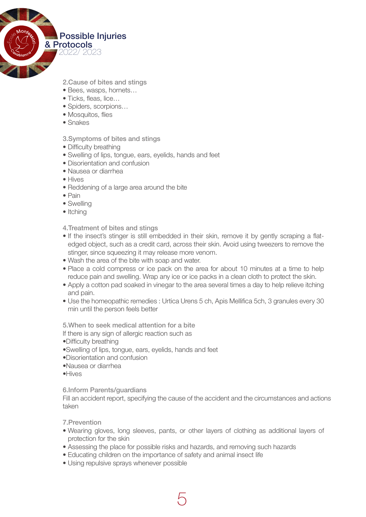

2.Cause of bites and stings

- • Bees, wasps, hornets…
- • Ticks, fleas, lice…
- Spiders, scorpions...
- Mosquitos, flies
- • Snakes

#### 3.Symptoms of bites and stings

- Difficulty breathing
- • Swelling of lips, tongue, ears, eyelids, hands and feet
- Disorientation and confusion
- • Nausea or diarrhea
- Hives
- Reddening of a large area around the bite
- • Pain
- Swelling
- Itching

4.Treatment of bites and stings

- If the insect's stinger is still embedded in their skin, remove it by gently scraping a flatedged object, such as a credit card, across their skin. Avoid using tweezers to remove the stinger, since squeezing it may release more venom.
- Wash the area of the bite with soap and water.
- Place a cold compress or ice pack on the area for about 10 minutes at a time to help reduce pain and swelling. Wrap any ice or ice packs in a clean cloth to protect the skin.
- Apply a cotton pad soaked in vinegar to the area several times a day to help relieve itching and pain.
- Use the homeopathic remedies : Urtica Urens 5 ch, Apis Mellifica 5ch, 3 granules every 30 min until the person feels better

5.When to seek medical attention for a bite

If there is any sign of allergic reaction such as

• Difficulty breathing

- • Swelling of lips, tongue, ears, eyelids, hands and feet
- • Disorientation and confusion
- • Nausea or diarrhea
- • Hives

6.Inform Parents/guardians

Fill an accident report, specifying the cause of the accident and the circumstances and actions taken

7.Prevention

- • Wearing gloves, long sleeves, pants, or other layers of clothing as additional layers of protection for the skin
- Assessing the place for possible risks and hazards, and removing such hazards

5

- Educating children on the importance of safety and animal insect life
- Using repulsive sprays whenever possible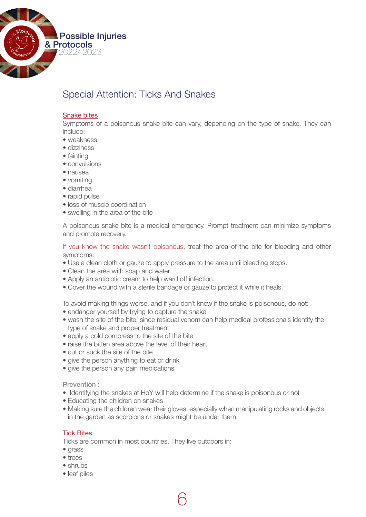

# Special Attention: Ticks And Snakes

#### Snake bites

Symptoms of a poisonous snake bite can vary, depending on the type of snake. They can include:

- weakness
- dizziness
- fainting
- convulsions
- • nausea
- vomiting
- • diarrhea
- rapid pulse
- loss of muscle coordination
- swelling in the area of the bite

A poisonous snake bite is a medical emergency. Prompt treatment can minimize symptoms and promote recovery.

If you know the snake wasn't poisonous, treat the area of the bite for bleeding and other symptoms:

- Use a clean cloth or gauze to apply pressure to the area until bleeding stops.
- Clean the area with soap and water.
- Apply an antibiotic cream to help ward off infection.
- Cover the wound with a sterile bandage or gauze to protect it while it heals.

To avoid making things worse, and if you don't know if the snake is poisonous, do not:

- endanger yourself by trying to capture the snake
- wash the site of the bite, since residual venom can help medical professionals identify the type of snake and proper treatment
- apply a cold compress to the site of the bite
- raise the bitten area above the level of their heart
- cut or suck the site of the bite
- give the person anything to eat or drink
- give the person any pain medications

Prevention :

• Identifying the snakes at HoY will help determine if the snake is poisonous or not

6

- Educating the children on snakes
- Making sure the children wear their gloves, especially when manipulating rocks and objects in the garden as scorpions or snakes might be under them.

#### Tick Bites

Ticks are common in most countries. They live outdoors in:

- arass
- trees
- shrubs
- leaf piles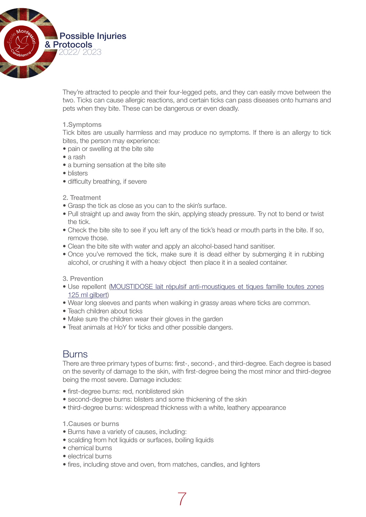

They're attracted to people and their four-legged pets, and they can easily move between the two. Ticks can cause allergic reactions, and certain ticks can pass diseases onto humans and pets when they bite. These can be dangerous or even deadly.

#### 1.Symptoms

Tick bites are usually harmless and may produce no symptoms. If there is an allergy to tick bites, the person may experience:

- pain or swelling at the bite site
- a rash
- a burning sensation at the bite site
- blisters
- difficulty breathing, if severe
- 2. Treatment
- Grasp the tick as close as you can to the skin's surface.
- Pull straight up and away from the skin, applying steady pressure. Try not to bend or twist the tick.
- Check the bite site to see if you left any of the tick's head or mouth parts in the bite. If so, remove those.
- Clean the bite site with water and apply an alcohol-based hand sanitiser.
- Once you've removed the tick, make sure it is dead either by submerging it in rubbing alcohol, or crushing it with a heavy object then place it in a sealed container.

#### 3. Prevention

- • Use repellent (MOUSTIDOSE lait répulsif anti-moustiques et tiques famille toutes zones 125 ml gilbert)
- Wear long sleeves and pants when walking in grassy areas where ticks are common.
- Teach children about ticks
- Make sure the children wear their gloves in the garden
- Treat animals at HoY for ticks and other possible dangers.

### **Burns**

There are three primary types of burns: first-, second-, and third-degree. Each degree is based on the severity of damage to the skin, with first-degree being the most minor and third-degree being the most severe. Damage includes:

- first-degree burns: red, nonblistered skin
- second-degree burns: blisters and some thickening of the skin
- third-degree burns: widespread thickness with a white, leathery appearance
- 1.Causes or burns
- Burns have a variety of causes, including:
- scalding from hot liquids or surfaces, boiling liquids
- chemical burns
- electrical burns
- fires, including stove and oven, from matches, candles, and lighters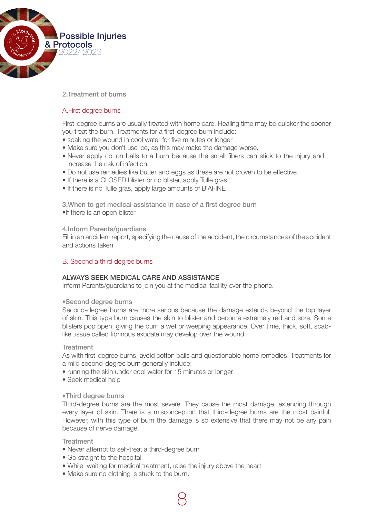

2.Treatment of burns

#### A.First degree burns

First-degree burns are usually treated with home care. Healing time may be quicker the sooner you treat the burn. Treatments for a first-degree burn include:

- soaking the wound in cool water for five minutes or longer
- Make sure you don't use ice, as this may make the damage worse.
- Never apply cotton balls to a burn because the small fibers can stick to the injury and increase the risk of infection.
- • Do not use remedies like butter and eggs as these are not proven to be effective.
- If there is a CLOSED blister or no blister, apply Tulle gras
- If there is no Tulle gras, apply large amounts of BIAFINE

3. When to get medical assistance in case of a first degree burn • If there is an open blister

#### 4.Inform Parents/guardians

Fill in an accident report, specifying the cause of the accident, the circumstances of the accident and actions taken

#### B. Second a third degree burns

#### ALWAYS SEEK MEDICAL CARE AND ASSISTANCE

Inform Parents/guardians to join you at the medical facility over the phone.

#### • Second degree burns

Second-degree burns are more serious because the damage extends beyond the top layer of skin. This type burn causes the skin to blister and become extremely red and sore. Some blisters pop open, giving the burn a wet or weeping appearance. Over time, thick, soft, scablike tissue called fibrinous exudate may develop over the wound.

#### **Treatment**

As with first-degree burns, avoid cotton balls and questionable home remedies. Treatments for a mild second-degree burn generally include:

- running the skin under cool water for 15 minutes or longer
- Seek medical help

#### • Third degree burns

Third-degree burns are the most severe. They cause the most damage, extending through every layer of skin. There is a misconception that third-degree burns are the most painful. However, with this type of burn the damage is so extensive that there may not be any pain because of nerve damage.

#### **Treatment**

- Never attempt to self-treat a third-degree burn
- Go straight to the hospital
- • While waiting for medical treatment, raise the injury above the heart

8

• Make sure no clothing is stuck to the burn.